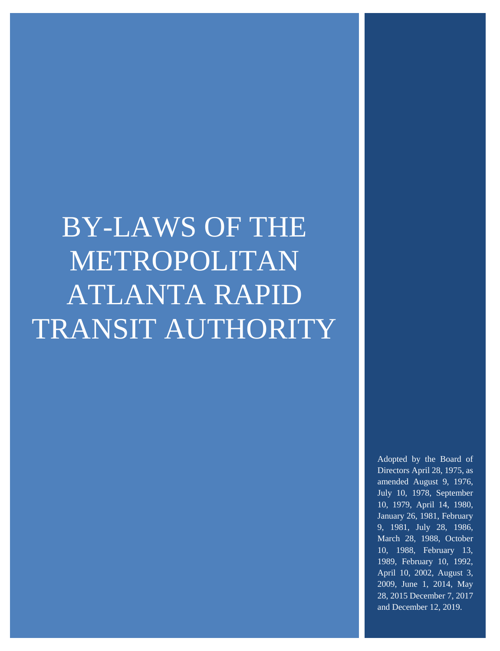# BY-LAWS OF THE METROPOLITAN ATLANTA RAPID TRANSIT AUTHORITY

Adopted by the Board of Directors April 28, 1975, as amended August 9, 1976, July 10, 1978, September 10, 1979, April 14, 1980, January 26, 1981, February 9, 1981, July 28, 1986, March 28, 1988, October 10, 1988, February 13, 1989, February 10, 1992, April 10, 2002, August 3, 2009, June 1, 2014, May 28, 2015 December 7, 2017 and December 12, 2019.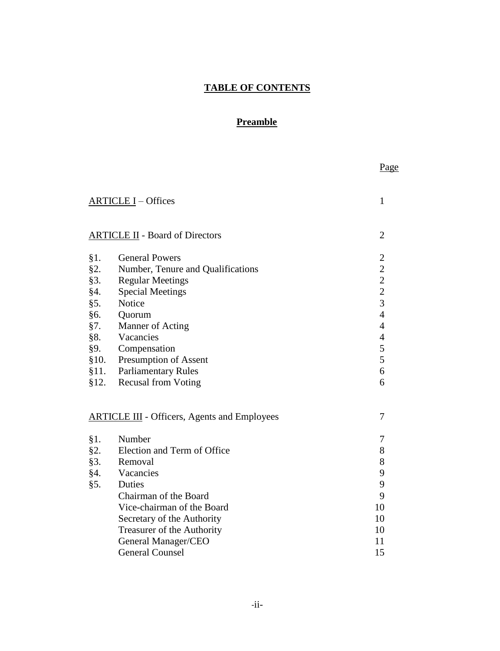# **TABLE OF CONTENTS**

### **Preamble**

|      |                                                     | Page                                       |
|------|-----------------------------------------------------|--------------------------------------------|
|      | <b>ARTICLE I</b> – Offices                          | $\mathbf{1}$                               |
|      | <b>ARTICLE II</b> - Board of Directors              | $\overline{2}$                             |
| §1.  | <b>General Powers</b>                               | $\overline{c}$                             |
| §2.  | Number, Tenure and Qualifications                   |                                            |
| §3.  | <b>Regular Meetings</b>                             |                                            |
| §4.  | <b>Special Meetings</b>                             | $\begin{array}{c} 2 \\ 2 \\ 3 \end{array}$ |
| §5.  | Notice                                              |                                            |
| §6.  | Quorum                                              | $\overline{4}$                             |
| §7.  | Manner of Acting                                    | $\overline{4}$                             |
| §8.  | Vacancies                                           | $\overline{4}$                             |
| §9.  | Compensation                                        | 5                                          |
| §10. | <b>Presumption of Assent</b>                        | 5                                          |
| §11. | <b>Parliamentary Rules</b>                          | 6                                          |
| §12. | <b>Recusal from Voting</b>                          | 6                                          |
|      | <b>ARTICLE III</b> - Officers, Agents and Employees | 7                                          |
| §1.  | Number                                              | 7                                          |
| §2.  | Election and Term of Office                         | 8                                          |
| §3.  | Removal                                             | 8                                          |
| §4.  | Vacancies                                           | 9                                          |
| §5.  | Duties                                              | 9                                          |
|      | Chairman of the Board                               | 9                                          |
|      | Vice-chairman of the Board                          | 10                                         |
|      | Secretary of the Authority                          | 10                                         |
|      | Treasurer of the Authority                          | 10                                         |
|      | General Manager/CEO                                 | 11                                         |
|      | <b>General Counsel</b>                              | 15                                         |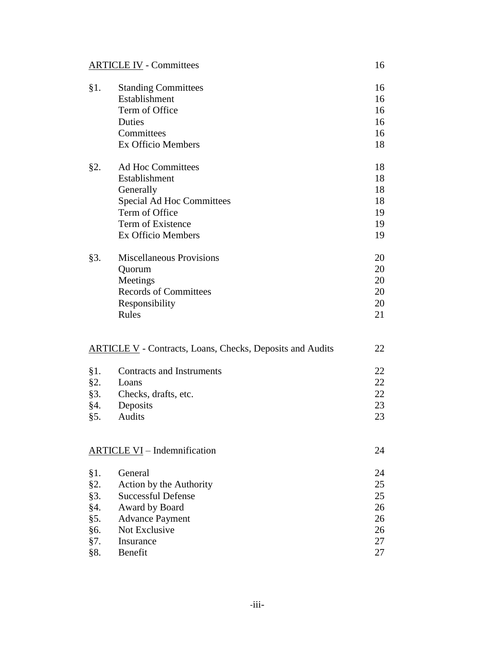| <b>ARTICLE IV - Committees</b> |  |
|--------------------------------|--|
|                                |  |

| $§1$ . | <b>Standing Committees</b>                                       | 16 |
|--------|------------------------------------------------------------------|----|
|        | Establishment                                                    | 16 |
|        | Term of Office                                                   | 16 |
|        | Duties                                                           | 16 |
|        | Committees                                                       | 16 |
|        | Ex Officio Members                                               | 18 |
|        |                                                                  |    |
| §2.    | Ad Hoc Committees                                                | 18 |
|        | Establishment                                                    | 18 |
|        | Generally                                                        | 18 |
|        | Special Ad Hoc Committees                                        | 18 |
|        | Term of Office                                                   | 19 |
|        | Term of Existence                                                | 19 |
|        | Ex Officio Members                                               | 19 |
|        |                                                                  |    |
| §3.    | <b>Miscellaneous Provisions</b>                                  | 20 |
|        | Quorum                                                           | 20 |
|        | Meetings                                                         | 20 |
|        | <b>Records of Committees</b>                                     | 20 |
|        | Responsibility                                                   | 20 |
|        | Rules                                                            | 21 |
|        |                                                                  |    |
|        | <b>ARTICLE V</b> - Contracts, Loans, Checks, Deposits and Audits | 22 |
| $§1$ . | <b>Contracts and Instruments</b>                                 | 22 |
| §2.    | Loans                                                            | 22 |
| §3.    | Checks, drafts, etc.                                             | 22 |
| §4.    | Deposits                                                         | 23 |
| §5.    | Audits                                                           | 23 |
|        |                                                                  |    |
|        |                                                                  |    |
|        | <b>ARTICLE VI</b> - Indemnification                              | 24 |
| $§1$ . | General                                                          | 24 |
| §2.    | Action by the Authority                                          | 25 |
| §3.    | <b>Successful Defense</b>                                        | 25 |
| §4.    | Award by Board                                                   | 26 |
| §5.    | <b>Advance Payment</b>                                           | 26 |
| §6.    | Not Exclusive                                                    | 26 |
| §7.    | Insurance                                                        | 27 |
| §8.    | Benefit                                                          | 27 |
|        |                                                                  |    |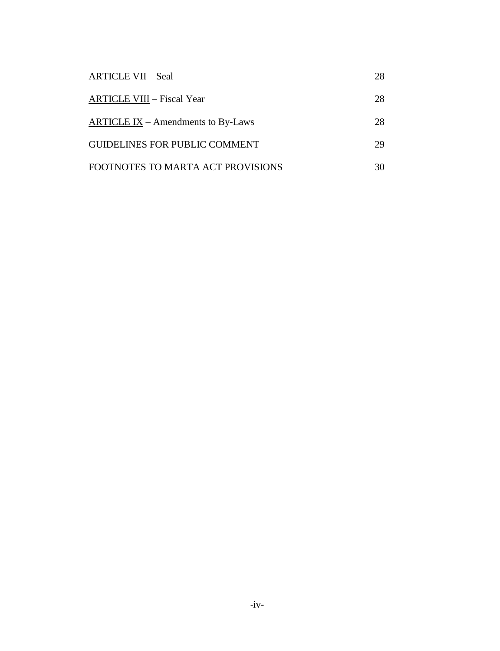| <b>ARTICLE VII – Seal</b>             | 28 |
|---------------------------------------|----|
| <b>ARTICLE VIII - Fiscal Year</b>     | 28 |
| $ARTICLE IX - A$ mendments to By-Laws | 28 |
| <b>GUIDELINES FOR PUBLIC COMMENT</b>  | 29 |
| FOOTNOTES TO MARTA ACT PROVISIONS     | 30 |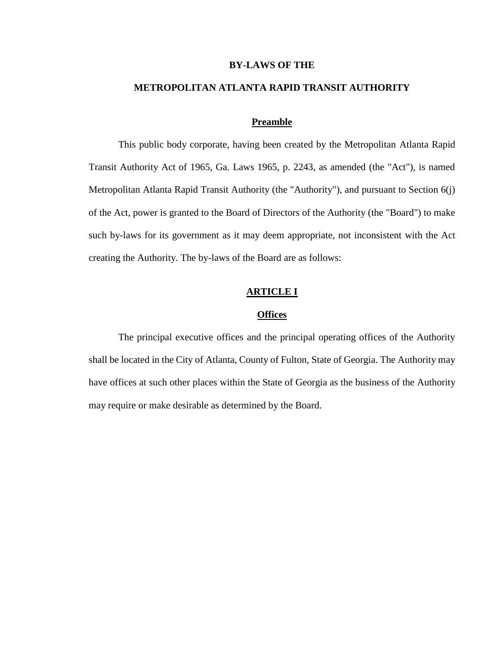#### **BY-LAWS OF THE**

#### **METROPOLITAN ATLANTA RAPID TRANSIT AUTHORITY**

#### **Preamble**

This public body corporate, having been created by the Metropolitan Atlanta Rapid Transit Authority Act of 1965, Ga. Laws 1965, p. 2243, as amended (the "Act"), is named Metropolitan Atlanta Rapid Transit Authority (the "Authority"), and pursuant to Section 6(j) of the Act, power is granted to the Board of Directors of the Authority (the "Board") to make such by-laws for its government as it may deem appropriate, not inconsistent with the Act creating the Authority. The by-laws of the Board are as follows:

#### **ARTICLE I**

#### **Offices**

The principal executive offices and the principal operating offices of the Authority shall be located in the City of Atlanta, County of Fulton, State of Georgia. The Authority may have offices at such other places within the State of Georgia as the business of the Authority may require or make desirable as determined by the Board.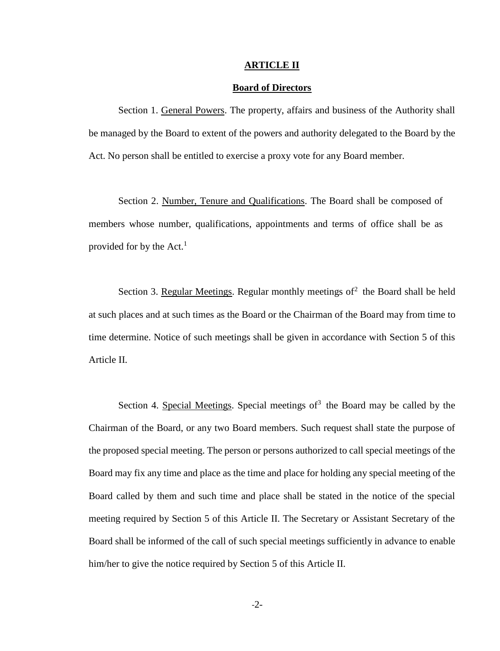#### **ARTICLE II**

#### **Board of Directors**

Section 1. General Powers. The property, affairs and business of the Authority shall be managed by the Board to extent of the powers and authority delegated to the Board by the Act. No person shall be entitled to exercise a proxy vote for any Board member.

Section 2. Number, Tenure and Qualifications. The Board shall be composed of members whose number, qualifications, appointments and terms of office shall be as provided for by the Act. $<sup>1</sup>$ </sup>

Section 3. Regular Meetings. Regular monthly meetings of<sup>2</sup> the Board shall be held at such places and at such times as the Board or the Chairman of the Board may from time to time determine. Notice of such meetings shall be given in accordance with Section 5 of this Article II.

Section 4. Special Meetings. Special meetings of<sup>3</sup> the Board may be called by the Chairman of the Board, or any two Board members. Such request shall state the purpose of the proposed special meeting. The person or persons authorized to call special meetings of the Board may fix any time and place as the time and place for holding any special meeting of the Board called by them and such time and place shall be stated in the notice of the special meeting required by Section 5 of this Article II. The Secretary or Assistant Secretary of the Board shall be informed of the call of such special meetings sufficiently in advance to enable him/her to give the notice required by Section 5 of this Article II.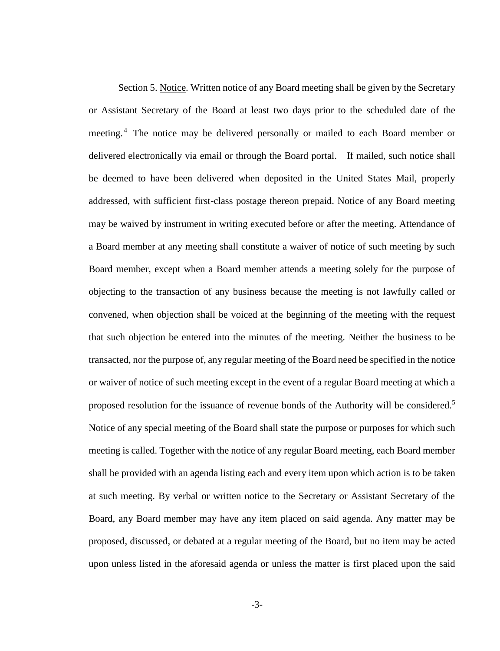Section 5. Notice. Written notice of any Board meeting shall be given by the Secretary or Assistant Secretary of the Board at least two days prior to the scheduled date of the meeting.<sup>4</sup> The notice may be delivered personally or mailed to each Board member or delivered electronically via email or through the Board portal. If mailed, such notice shall be deemed to have been delivered when deposited in the United States Mail, properly addressed, with sufficient first-class postage thereon prepaid. Notice of any Board meeting may be waived by instrument in writing executed before or after the meeting. Attendance of a Board member at any meeting shall constitute a waiver of notice of such meeting by such Board member, except when a Board member attends a meeting solely for the purpose of objecting to the transaction of any business because the meeting is not lawfully called or convened, when objection shall be voiced at the beginning of the meeting with the request that such objection be entered into the minutes of the meeting. Neither the business to be transacted, nor the purpose of, any regular meeting of the Board need be specified in the notice or waiver of notice of such meeting except in the event of a regular Board meeting at which a proposed resolution for the issuance of revenue bonds of the Authority will be considered.<sup>5</sup> Notice of any special meeting of the Board shall state the purpose or purposes for which such meeting is called. Together with the notice of any regular Board meeting, each Board member shall be provided with an agenda listing each and every item upon which action is to be taken at such meeting. By verbal or written notice to the Secretary or Assistant Secretary of the Board, any Board member may have any item placed on said agenda. Any matter may be proposed, discussed, or debated at a regular meeting of the Board, but no item may be acted upon unless listed in the aforesaid agenda or unless the matter is first placed upon the said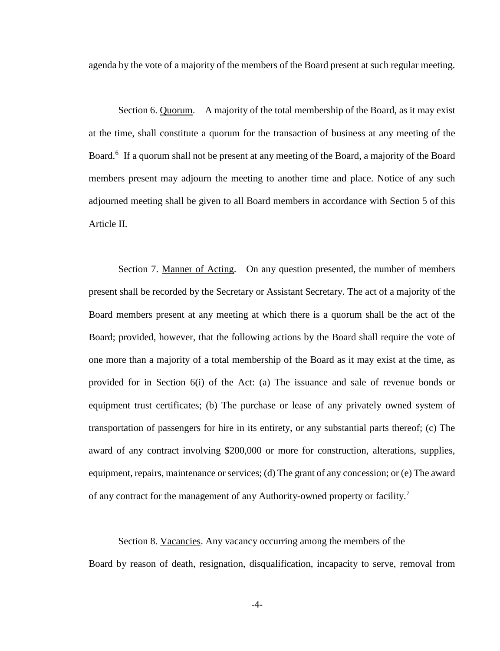agenda by the vote of a majority of the members of the Board present at such regular meeting.

Section 6. Quorum. A majority of the total membership of the Board, as it may exist at the time, shall constitute a quorum for the transaction of business at any meeting of the Board.<sup>6</sup> If a quorum shall not be present at any meeting of the Board, a majority of the Board members present may adjourn the meeting to another time and place. Notice of any such adjourned meeting shall be given to all Board members in accordance with Section 5 of this Article II.

Section 7. Manner of Acting. On any question presented, the number of members present shall be recorded by the Secretary or Assistant Secretary. The act of a majority of the Board members present at any meeting at which there is a quorum shall be the act of the Board; provided, however, that the following actions by the Board shall require the vote of one more than a majority of a total membership of the Board as it may exist at the time, as provided for in Section 6(i) of the Act: (a) The issuance and sale of revenue bonds or equipment trust certificates; (b) The purchase or lease of any privately owned system of transportation of passengers for hire in its entirety, or any substantial parts thereof; (c) The award of any contract involving \$200,000 or more for construction, alterations, supplies, equipment, repairs, maintenance or services; (d) The grant of any concession; or (e) The award of any contract for the management of any Authority-owned property or facility.<sup>7</sup>

Section 8. Vacancies. Any vacancy occurring among the members of the

Board by reason of death, resignation, disqualification, incapacity to serve, removal from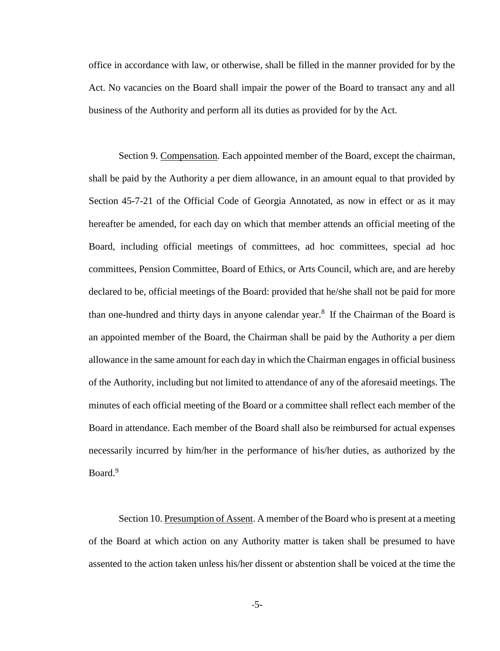office in accordance with law, or otherwise, shall be filled in the manner provided for by the Act. No vacancies on the Board shall impair the power of the Board to transact any and all business of the Authority and perform all its duties as provided for by the Act.

Section 9. Compensation. Each appointed member of the Board, except the chairman, shall be paid by the Authority a per diem allowance, in an amount equal to that provided by Section 45-7-21 of the Official Code of Georgia Annotated, as now in effect or as it may hereafter be amended, for each day on which that member attends an official meeting of the Board, including official meetings of committees, ad hoc committees, special ad hoc committees, Pension Committee, Board of Ethics, or Arts Council, which are, and are hereby declared to be, official meetings of the Board: provided that he/she shall not be paid for more than one-hundred and thirty days in anyone calendar year.<sup>8</sup> If the Chairman of the Board is an appointed member of the Board, the Chairman shall be paid by the Authority a per diem allowance in the same amount for each day in which the Chairman engages in official business of the Authority, including but not limited to attendance of any of the aforesaid meetings. The minutes of each official meeting of the Board or a committee shall reflect each member of the Board in attendance. Each member of the Board shall also be reimbursed for actual expenses necessarily incurred by him/her in the performance of his/her duties, as authorized by the Board.<sup>9</sup>

Section 10. Presumption of Assent. A member of the Board who is present at a meeting of the Board at which action on any Authority matter is taken shall be presumed to have assented to the action taken unless his/her dissent or abstention shall be voiced at the time the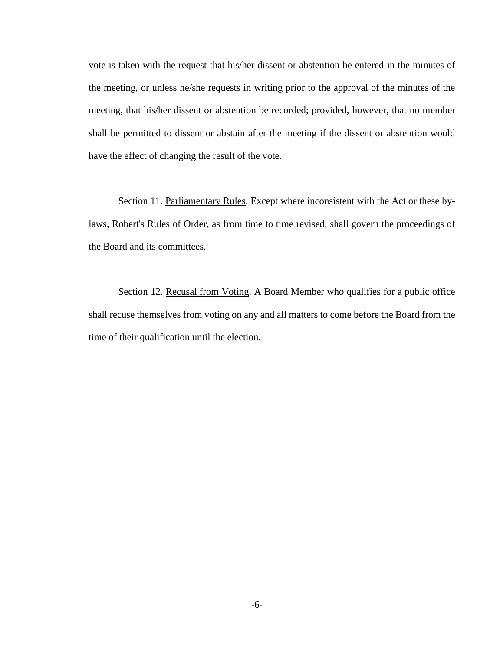vote is taken with the request that his/her dissent or abstention be entered in the minutes of the meeting, or unless he/she requests in writing prior to the approval of the minutes of the meeting, that his/her dissent or abstention be recorded; provided, however, that no member shall be permitted to dissent or abstain after the meeting if the dissent or abstention would have the effect of changing the result of the vote.

Section 11. Parliamentary Rules. Except where inconsistent with the Act or these bylaws, Robert's Rules of Order, as from time to time revised, shall govern the proceedings of the Board and its committees.

Section 12. Recusal from Voting. A Board Member who qualifies for a public office shall recuse themselves from voting on any and all matters to come before the Board from the time of their qualification until the election.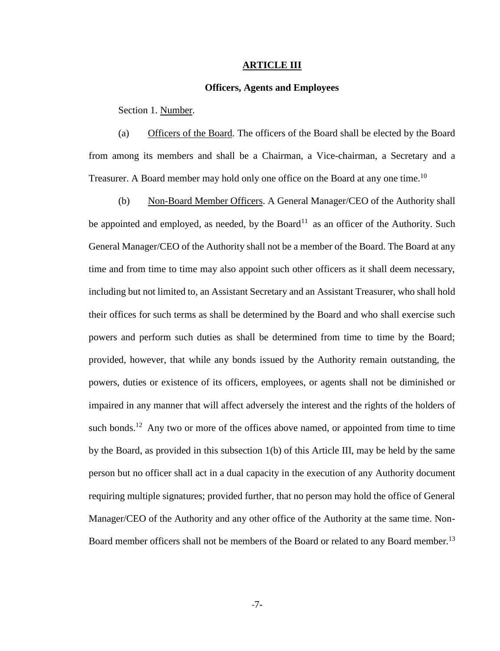#### **ARTICLE III**

#### **Officers, Agents and Employees**

Section 1. Number.

(a) Officers of the Board. The officers of the Board shall be elected by the Board from among its members and shall be a Chairman, a Vice-chairman, a Secretary and a Treasurer. A Board member may hold only one office on the Board at any one time.<sup>10</sup>

(b) Non-Board Member Officers. A General Manager/CEO of the Authority shall be appointed and employed, as needed, by the Board<sup>11</sup> as an officer of the Authority. Such General Manager/CEO of the Authority shall not be a member of the Board. The Board at any time and from time to time may also appoint such other officers as it shall deem necessary, including but not limited to, an Assistant Secretary and an Assistant Treasurer, who shall hold their offices for such terms as shall be determined by the Board and who shall exercise such powers and perform such duties as shall be determined from time to time by the Board; provided, however, that while any bonds issued by the Authority remain outstanding, the powers, duties or existence of its officers, employees, or agents shall not be diminished or impaired in any manner that will affect adversely the interest and the rights of the holders of such bonds.<sup>12</sup> Any two or more of the offices above named, or appointed from time to time by the Board, as provided in this subsection 1(b) of this Article III, may be held by the same person but no officer shall act in a dual capacity in the execution of any Authority document requiring multiple signatures; provided further, that no person may hold the office of General Manager/CEO of the Authority and any other office of the Authority at the same time. Non-Board member officers shall not be members of the Board or related to any Board member.<sup>13</sup>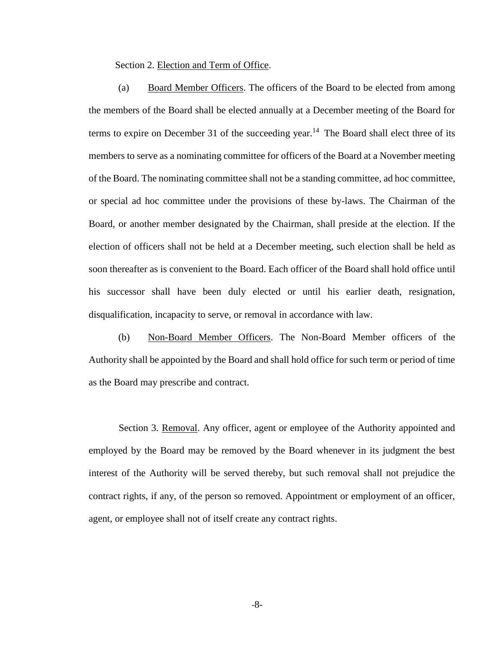Section 2. Election and Term of Office.

(a) Board Member Officers. The officers of the Board to be elected from among the members of the Board shall be elected annually at a December meeting of the Board for terms to expire on December 31 of the succeeding year.<sup>14</sup> The Board shall elect three of its members to serve as a nominating committee for officers of the Board at a November meeting of the Board. The nominating committee shall not be a standing committee, ad hoc committee, or special ad hoc committee under the provisions of these by-laws. The Chairman of the Board, or another member designated by the Chairman, shall preside at the election. If the election of officers shall not be held at a December meeting, such election shall be held as soon thereafter as is convenient to the Board. Each officer of the Board shall hold office until his successor shall have been duly elected or until his earlier death, resignation, disqualification, incapacity to serve, or removal in accordance with law.

(b) Non-Board Member Officers. The Non-Board Member officers of the Authority shall be appointed by the Board and shall hold office for such term or period of time as the Board may prescribe and contract.

Section 3. Removal. Any officer, agent or employee of the Authority appointed and employed by the Board may be removed by the Board whenever in its judgment the best interest of the Authority will be served thereby, but such removal shall not prejudice the contract rights, if any, of the person so removed. Appointment or employment of an officer, agent, or employee shall not of itself create any contract rights.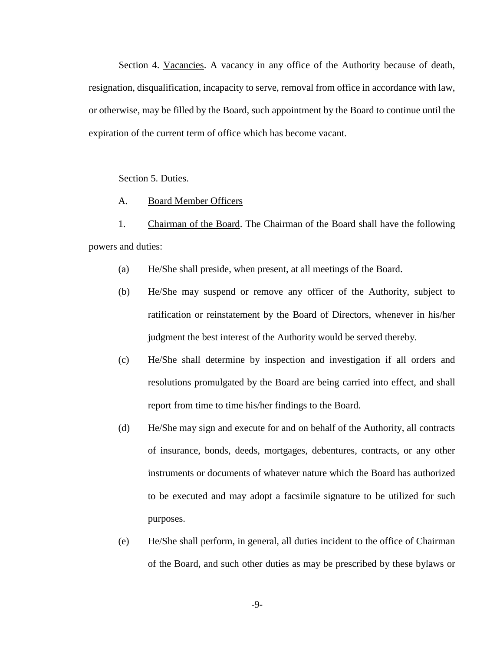Section 4. Vacancies. A vacancy in any office of the Authority because of death, resignation, disqualification, incapacity to serve, removal from office in accordance with law, or otherwise, may be filled by the Board, such appointment by the Board to continue until the expiration of the current term of office which has become vacant.

Section 5. Duties.

#### A. Board Member Officers

1. Chairman of the Board. The Chairman of the Board shall have the following powers and duties:

- (a) He/She shall preside, when present, at all meetings of the Board.
- (b) He/She may suspend or remove any officer of the Authority, subject to ratification or reinstatement by the Board of Directors, whenever in his/her judgment the best interest of the Authority would be served thereby.
- (c) He/She shall determine by inspection and investigation if all orders and resolutions promulgated by the Board are being carried into effect, and shall report from time to time his/her findings to the Board.
- (d) He/She may sign and execute for and on behalf of the Authority, all contracts of insurance, bonds, deeds, mortgages, debentures, contracts, or any other instruments or documents of whatever nature which the Board has authorized to be executed and may adopt a facsimile signature to be utilized for such purposes.
- (e) He/She shall perform, in general, all duties incident to the office of Chairman of the Board, and such other duties as may be prescribed by these bylaws or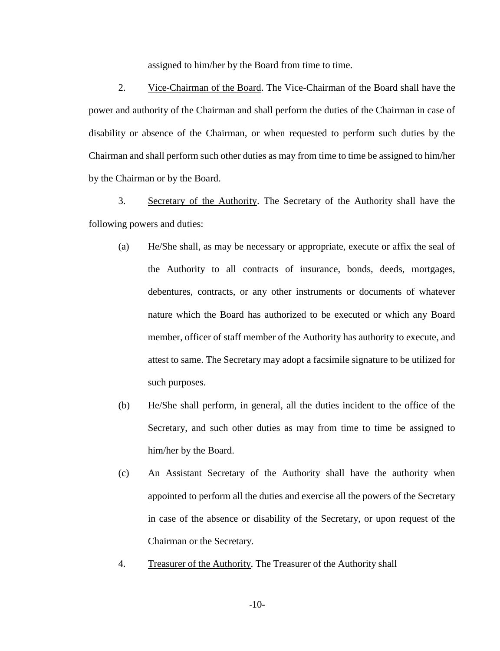assigned to him/her by the Board from time to time.

2. Vice-Chairman of the Board. The Vice-Chairman of the Board shall have the power and authority of the Chairman and shall perform the duties of the Chairman in case of disability or absence of the Chairman, or when requested to perform such duties by the Chairman and shall perform such other duties as may from time to time be assigned to him/her by the Chairman or by the Board.

3. Secretary of the Authority. The Secretary of the Authority shall have the following powers and duties:

- (a) He/She shall, as may be necessary or appropriate, execute or affix the seal of the Authority to all contracts of insurance, bonds, deeds, mortgages, debentures, contracts, or any other instruments or documents of whatever nature which the Board has authorized to be executed or which any Board member, officer of staff member of the Authority has authority to execute, and attest to same. The Secretary may adopt a facsimile signature to be utilized for such purposes.
- (b) He/She shall perform, in general, all the duties incident to the office of the Secretary, and such other duties as may from time to time be assigned to him/her by the Board.
- (c) An Assistant Secretary of the Authority shall have the authority when appointed to perform all the duties and exercise all the powers of the Secretary in case of the absence or disability of the Secretary, or upon request of the Chairman or the Secretary.
- 4. Treasurer of the Authority. The Treasurer of the Authority shall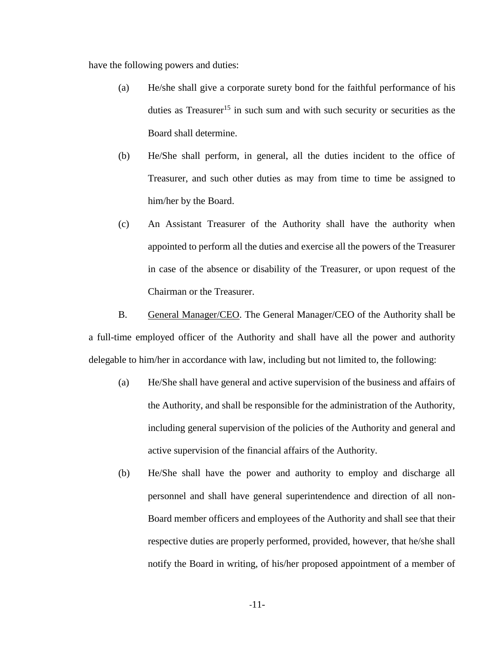have the following powers and duties:

- (a) He/she shall give a corporate surety bond for the faithful performance of his duties as Treasurer<sup>15</sup> in such sum and with such security or securities as the Board shall determine.
- (b) He/She shall perform, in general, all the duties incident to the office of Treasurer, and such other duties as may from time to time be assigned to him/her by the Board.
- (c) An Assistant Treasurer of the Authority shall have the authority when appointed to perform all the duties and exercise all the powers of the Treasurer in case of the absence or disability of the Treasurer, or upon request of the Chairman or the Treasurer.

B. General Manager/CEO. The General Manager/CEO of the Authority shall be a full-time employed officer of the Authority and shall have all the power and authority delegable to him/her in accordance with law, including but not limited to, the following:

- (a) He/She shall have general and active supervision of the business and affairs of the Authority, and shall be responsible for the administration of the Authority, including general supervision of the policies of the Authority and general and active supervision of the financial affairs of the Authority.
- (b) He/She shall have the power and authority to employ and discharge all personnel and shall have general superintendence and direction of all non-Board member officers and employees of the Authority and shall see that their respective duties are properly performed, provided, however, that he/she shall notify the Board in writing, of his/her proposed appointment of a member of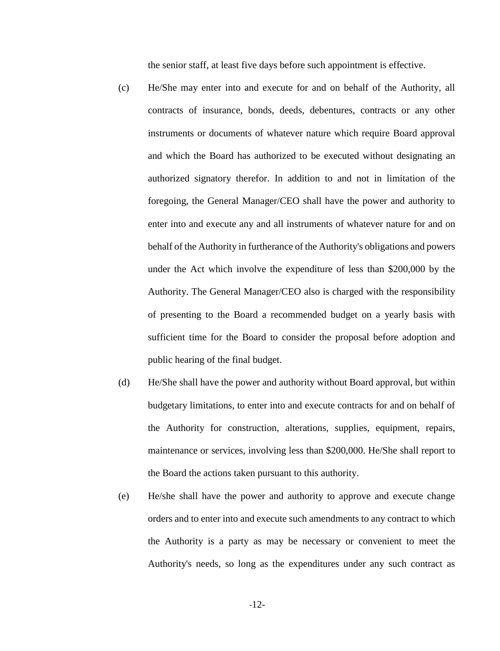the senior staff, at least five days before such appointment is effective.

- (c) He/She may enter into and execute for and on behalf of the Authority, all contracts of insurance, bonds, deeds, debentures, contracts or any other instruments or documents of whatever nature which require Board approval and which the Board has authorized to be executed without designating an authorized signatory therefor. In addition to and not in limitation of the foregoing, the General Manager/CEO shall have the power and authority to enter into and execute any and all instruments of whatever nature for and on behalf of the Authority in furtherance of the Authority's obligations and powers under the Act which involve the expenditure of less than \$200,000 by the Authority. The General Manager/CEO also is charged with the responsibility of presenting to the Board a recommended budget on a yearly basis with sufficient time for the Board to consider the proposal before adoption and public hearing of the final budget.
- (d) He/She shall have the power and authority without Board approval, but within budgetary limitations, to enter into and execute contracts for and on behalf of the Authority for construction, alterations, supplies, equipment, repairs, maintenance or services, involving less than \$200,000. He/She shall report to the Board the actions taken pursuant to this authority.
- (e) He/she shall have the power and authority to approve and execute change orders and to enter into and execute such amendments to any contract to which the Authority is a party as may be necessary or convenient to meet the Authority's needs, so long as the expenditures under any such contract as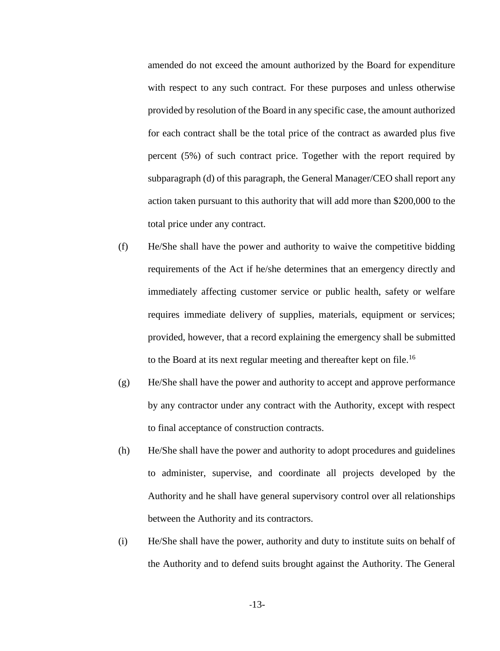amended do not exceed the amount authorized by the Board for expenditure with respect to any such contract. For these purposes and unless otherwise provided by resolution of the Board in any specific case, the amount authorized for each contract shall be the total price of the contract as awarded plus five percent (5%) of such contract price. Together with the report required by subparagraph (d) of this paragraph, the General Manager/CEO shall report any action taken pursuant to this authority that will add more than \$200,000 to the total price under any contract.

- (f) He/She shall have the power and authority to waive the competitive bidding requirements of the Act if he/she determines that an emergency directly and immediately affecting customer service or public health, safety or welfare requires immediate delivery of supplies, materials, equipment or services; provided, however, that a record explaining the emergency shall be submitted to the Board at its next regular meeting and thereafter kept on file.<sup>16</sup>
- (g) He/She shall have the power and authority to accept and approve performance by any contractor under any contract with the Authority, except with respect to final acceptance of construction contracts.
- (h) He/She shall have the power and authority to adopt procedures and guidelines to administer, supervise, and coordinate all projects developed by the Authority and he shall have general supervisory control over all relationships between the Authority and its contractors.
- (i) He/She shall have the power, authority and duty to institute suits on behalf of the Authority and to defend suits brought against the Authority. The General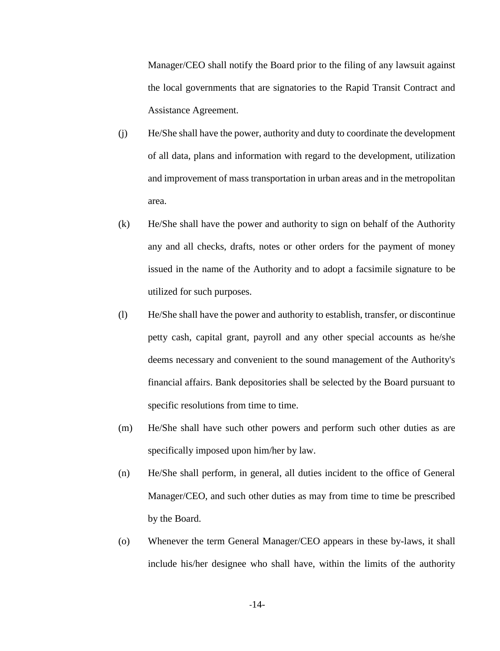Manager/CEO shall notify the Board prior to the filing of any lawsuit against the local governments that are signatories to the Rapid Transit Contract and Assistance Agreement.

- (j) He/She shall have the power, authority and duty to coordinate the development of all data, plans and information with regard to the development, utilization and improvement of mass transportation in urban areas and in the metropolitan area.
- (k) He/She shall have the power and authority to sign on behalf of the Authority any and all checks, drafts, notes or other orders for the payment of money issued in the name of the Authority and to adopt a facsimile signature to be utilized for such purposes.
- (l) He/She shall have the power and authority to establish, transfer, or discontinue petty cash, capital grant, payroll and any other special accounts as he/she deems necessary and convenient to the sound management of the Authority's financial affairs. Bank depositories shall be selected by the Board pursuant to specific resolutions from time to time.
- (m) He/She shall have such other powers and perform such other duties as are specifically imposed upon him/her by law.
- (n) He/She shall perform, in general, all duties incident to the office of General Manager/CEO, and such other duties as may from time to time be prescribed by the Board.
- (o) Whenever the term General Manager/CEO appears in these by-laws, it shall include his/her designee who shall have, within the limits of the authority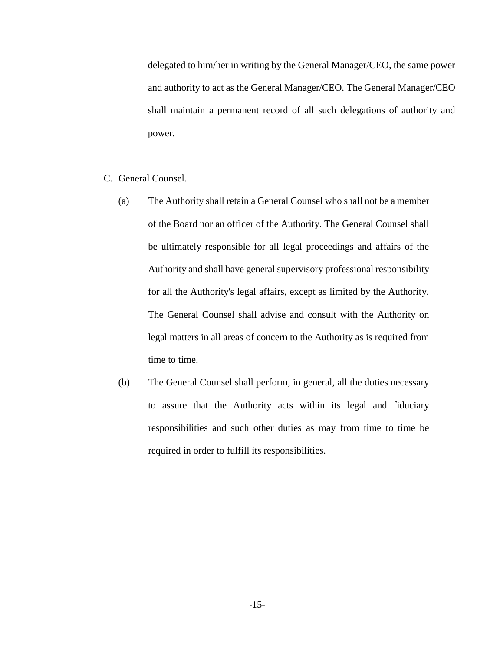delegated to him/her in writing by the General Manager/CEO, the same power and authority to act as the General Manager/CEO. The General Manager/CEO shall maintain a permanent record of all such delegations of authority and power.

#### C. General Counsel.

- (a) The Authority shall retain a General Counsel who shall not be a member of the Board nor an officer of the Authority. The General Counsel shall be ultimately responsible for all legal proceedings and affairs of the Authority and shall have general supervisory professional responsibility for all the Authority's legal affairs, except as limited by the Authority. The General Counsel shall advise and consult with the Authority on legal matters in all areas of concern to the Authority as is required from time to time.
- (b) The General Counsel shall perform, in general, all the duties necessary to assure that the Authority acts within its legal and fiduciary responsibilities and such other duties as may from time to time be required in order to fulfill its responsibilities.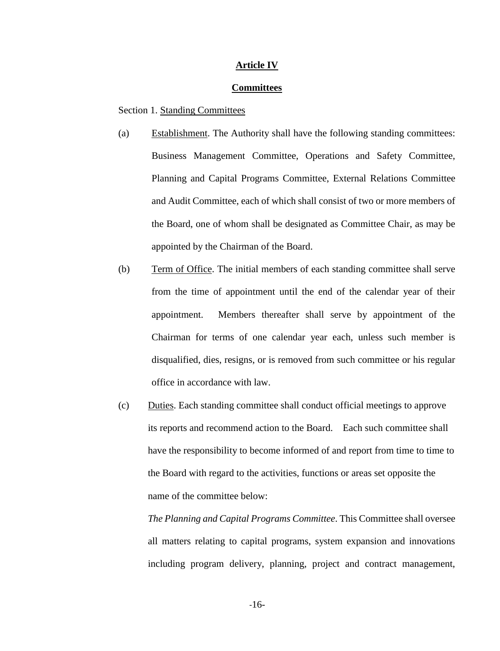#### **Article IV**

#### **Committees**

Section 1. Standing Committees

- (a) Establishment. The Authority shall have the following standing committees: Business Management Committee, Operations and Safety Committee, Planning and Capital Programs Committee, External Relations Committee and Audit Committee, each of which shall consist of two or more members of the Board, one of whom shall be designated as Committee Chair, as may be appointed by the Chairman of the Board.
- (b) Term of Office. The initial members of each standing committee shall serve from the time of appointment until the end of the calendar year of their appointment. Members thereafter shall serve by appointment of the Chairman for terms of one calendar year each, unless such member is disqualified, dies, resigns, or is removed from such committee or his regular office in accordance with law.
- (c) Duties. Each standing committee shall conduct official meetings to approve its reports and recommend action to the Board. Each such committee shall have the responsibility to become informed of and report from time to time to the Board with regard to the activities, functions or areas set opposite the name of the committee below:

*The Planning and Capital Programs Committee*. This Committee shall oversee all matters relating to capital programs, system expansion and innovations including program delivery, planning, project and contract management,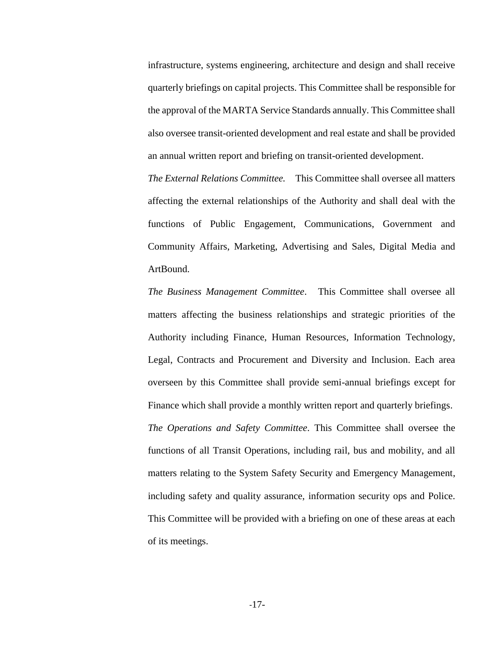infrastructure, systems engineering, architecture and design and shall receive quarterly briefings on capital projects. This Committee shall be responsible for the approval of the MARTA Service Standards annually. This Committee shall also oversee transit-oriented development and real estate and shall be provided an annual written report and briefing on transit-oriented development.

*The External Relations Committee.* This Committee shall oversee all matters affecting the external relationships of the Authority and shall deal with the functions of Public Engagement, Communications, Government and Community Affairs, Marketing, Advertising and Sales, Digital Media and ArtBound.

*The Business Management Committee*. This Committee shall oversee all matters affecting the business relationships and strategic priorities of the Authority including Finance, Human Resources, Information Technology, Legal, Contracts and Procurement and Diversity and Inclusion. Each area overseen by this Committee shall provide semi-annual briefings except for Finance which shall provide a monthly written report and quarterly briefings. *The Operations and Safety Committee*. This Committee shall oversee the functions of all Transit Operations, including rail, bus and mobility, and all matters relating to the System Safety Security and Emergency Management, including safety and quality assurance, information security ops and Police. This Committee will be provided with a briefing on one of these areas at each of its meetings.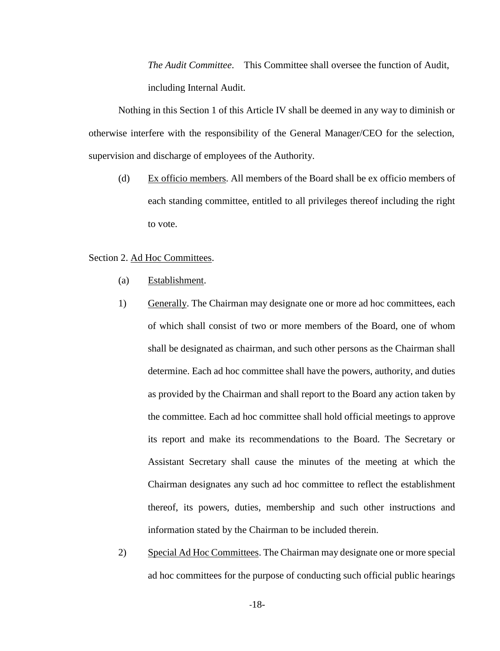*The Audit Committee*. This Committee shall oversee the function of Audit, including Internal Audit.

Nothing in this Section 1 of this Article IV shall be deemed in any way to diminish or otherwise interfere with the responsibility of the General Manager/CEO for the selection, supervision and discharge of employees of the Authority.

(d) Ex officio members. All members of the Board shall be ex officio members of each standing committee, entitled to all privileges thereof including the right to vote.

#### Section 2. Ad Hoc Committees.

- (a) Establishment.
- 1) Generally. The Chairman may designate one or more ad hoc committees, each of which shall consist of two or more members of the Board, one of whom shall be designated as chairman, and such other persons as the Chairman shall determine. Each ad hoc committee shall have the powers, authority, and duties as provided by the Chairman and shall report to the Board any action taken by the committee. Each ad hoc committee shall hold official meetings to approve its report and make its recommendations to the Board. The Secretary or Assistant Secretary shall cause the minutes of the meeting at which the Chairman designates any such ad hoc committee to reflect the establishment thereof, its powers, duties, membership and such other instructions and information stated by the Chairman to be included therein.
- 2) Special Ad Hoc Committees. The Chairman may designate one or more special ad hoc committees for the purpose of conducting such official public hearings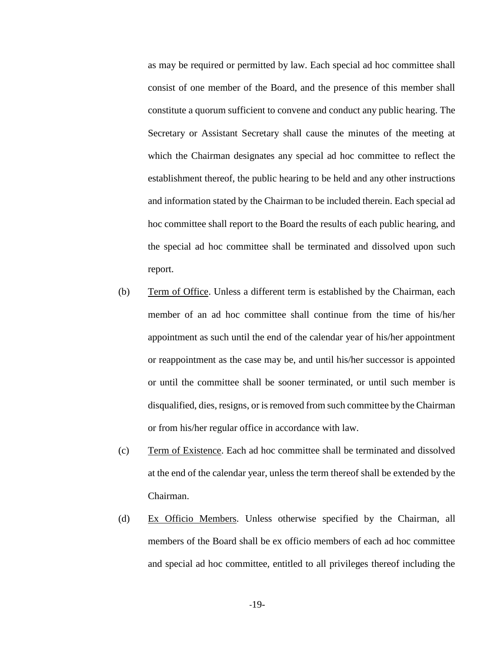as may be required or permitted by law. Each special ad hoc committee shall consist of one member of the Board, and the presence of this member shall constitute a quorum sufficient to convene and conduct any public hearing. The Secretary or Assistant Secretary shall cause the minutes of the meeting at which the Chairman designates any special ad hoc committee to reflect the establishment thereof, the public hearing to be held and any other instructions and information stated by the Chairman to be included therein. Each special ad hoc committee shall report to the Board the results of each public hearing, and the special ad hoc committee shall be terminated and dissolved upon such report.

- (b) Term of Office. Unless a different term is established by the Chairman, each member of an ad hoc committee shall continue from the time of his/her appointment as such until the end of the calendar year of his/her appointment or reappointment as the case may be, and until his/her successor is appointed or until the committee shall be sooner terminated, or until such member is disqualified, dies, resigns, or is removed from such committee by the Chairman or from his/her regular office in accordance with law.
- (c) Term of Existence. Each ad hoc committee shall be terminated and dissolved at the end of the calendar year, unless the term thereof shall be extended by the Chairman.
- (d) Ex Officio Members. Unless otherwise specified by the Chairman, all members of the Board shall be ex officio members of each ad hoc committee and special ad hoc committee, entitled to all privileges thereof including the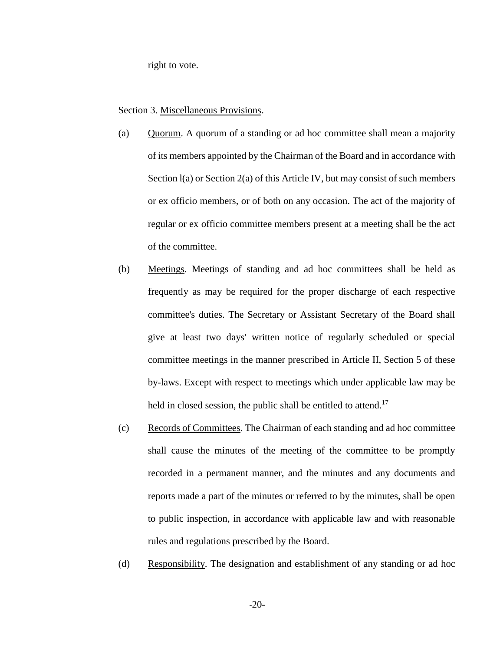right to vote.

Section 3. Miscellaneous Provisions.

- (a) Quorum. A quorum of a standing or ad hoc committee shall mean a majority of its members appointed by the Chairman of the Board and in accordance with Section  $I(a)$  or Section  $2(a)$  of this Article IV, but may consist of such members or ex officio members, or of both on any occasion. The act of the majority of regular or ex officio committee members present at a meeting shall be the act of the committee.
- (b) Meetings. Meetings of standing and ad hoc committees shall be held as frequently as may be required for the proper discharge of each respective committee's duties. The Secretary or Assistant Secretary of the Board shall give at least two days' written notice of regularly scheduled or special committee meetings in the manner prescribed in Article II, Section 5 of these by-laws. Except with respect to meetings which under applicable law may be held in closed session, the public shall be entitled to attend.<sup>17</sup>
- (c) Records of Committees. The Chairman of each standing and ad hoc committee shall cause the minutes of the meeting of the committee to be promptly recorded in a permanent manner, and the minutes and any documents and reports made a part of the minutes or referred to by the minutes, shall be open to public inspection, in accordance with applicable law and with reasonable rules and regulations prescribed by the Board.
- (d) Responsibility. The designation and establishment of any standing or ad hoc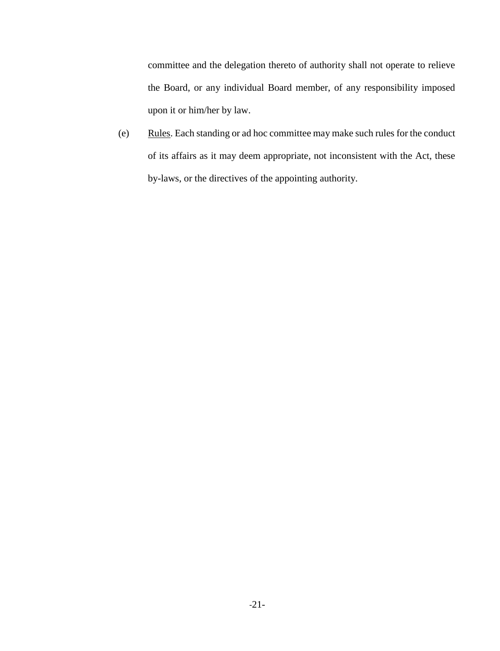committee and the delegation thereto of authority shall not operate to relieve the Board, or any individual Board member, of any responsibility imposed upon it or him/her by law.

(e) Rules. Each standing or ad hoc committee may make such rules for the conduct of its affairs as it may deem appropriate, not inconsistent with the Act, these by-laws, or the directives of the appointing authority.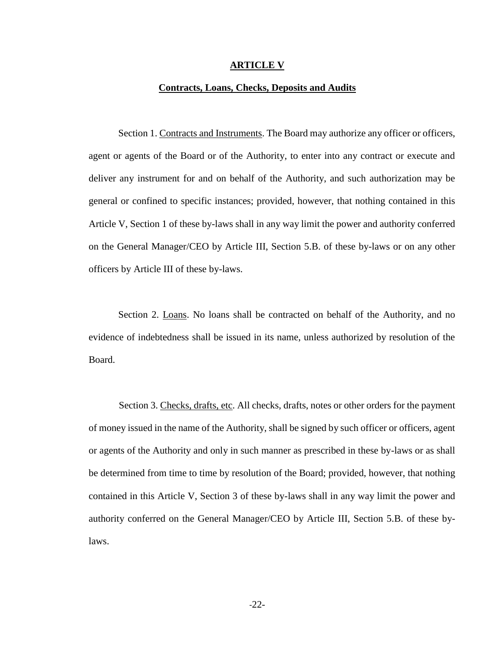#### **ARTICLE V**

#### **Contracts, Loans, Checks, Deposits and Audits**

Section 1. Contracts and Instruments. The Board may authorize any officer or officers, agent or agents of the Board or of the Authority, to enter into any contract or execute and deliver any instrument for and on behalf of the Authority, and such authorization may be general or confined to specific instances; provided, however, that nothing contained in this Article V, Section 1 of these by-laws shall in any way limit the power and authority conferred on the General Manager/CEO by Article III, Section 5.B. of these by-laws or on any other officers by Article III of these by-laws.

Section 2. Loans. No loans shall be contracted on behalf of the Authority, and no evidence of indebtedness shall be issued in its name, unless authorized by resolution of the Board.

Section 3. Checks, drafts, etc. All checks, drafts, notes or other orders for the payment of money issued in the name of the Authority, shall be signed by such officer or officers, agent or agents of the Authority and only in such manner as prescribed in these by-laws or as shall be determined from time to time by resolution of the Board; provided, however, that nothing contained in this Article V, Section 3 of these by-laws shall in any way limit the power and authority conferred on the General Manager/CEO by Article III, Section 5.B. of these bylaws.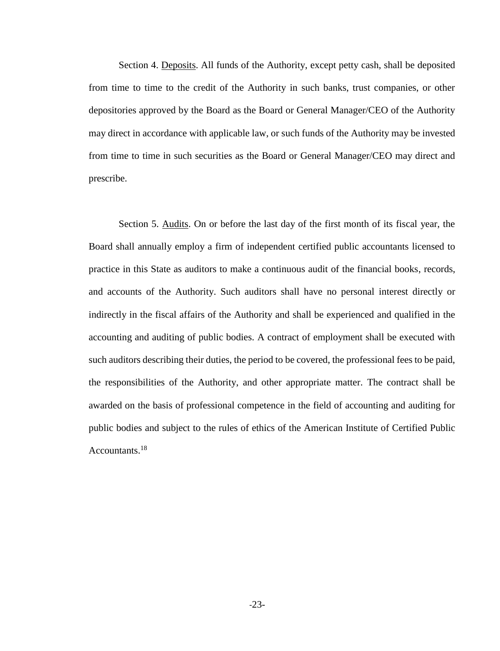Section 4. Deposits. All funds of the Authority, except petty cash, shall be deposited from time to time to the credit of the Authority in such banks, trust companies, or other depositories approved by the Board as the Board or General Manager/CEO of the Authority may direct in accordance with applicable law, or such funds of the Authority may be invested from time to time in such securities as the Board or General Manager/CEO may direct and prescribe.

Section 5. Audits. On or before the last day of the first month of its fiscal year, the Board shall annually employ a firm of independent certified public accountants licensed to practice in this State as auditors to make a continuous audit of the financial books, records, and accounts of the Authority. Such auditors shall have no personal interest directly or indirectly in the fiscal affairs of the Authority and shall be experienced and qualified in the accounting and auditing of public bodies. A contract of employment shall be executed with such auditors describing their duties, the period to be covered, the professional fees to be paid, the responsibilities of the Authority, and other appropriate matter. The contract shall be awarded on the basis of professional competence in the field of accounting and auditing for public bodies and subject to the rules of ethics of the American Institute of Certified Public Accountants.<sup>18</sup>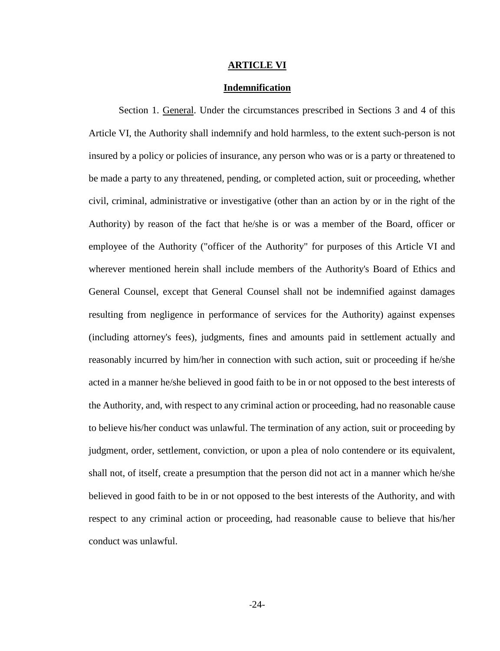#### **ARTICLE VI**

#### **Indemnification**

Section 1. General. Under the circumstances prescribed in Sections 3 and 4 of this Article VI, the Authority shall indemnify and hold harmless, to the extent such-person is not insured by a policy or policies of insurance, any person who was or is a party or threatened to be made a party to any threatened, pending, or completed action, suit or proceeding, whether civil, criminal, administrative or investigative (other than an action by or in the right of the Authority) by reason of the fact that he/she is or was a member of the Board, officer or employee of the Authority ("officer of the Authority" for purposes of this Article VI and wherever mentioned herein shall include members of the Authority's Board of Ethics and General Counsel, except that General Counsel shall not be indemnified against damages resulting from negligence in performance of services for the Authority) against expenses (including attorney's fees), judgments, fines and amounts paid in settlement actually and reasonably incurred by him/her in connection with such action, suit or proceeding if he/she acted in a manner he/she believed in good faith to be in or not opposed to the best interests of the Authority, and, with respect to any criminal action or proceeding, had no reasonable cause to believe his/her conduct was unlawful. The termination of any action, suit or proceeding by judgment, order, settlement, conviction, or upon a plea of nolo contendere or its equivalent, shall not, of itself, create a presumption that the person did not act in a manner which he/she believed in good faith to be in or not opposed to the best interests of the Authority, and with respect to any criminal action or proceeding, had reasonable cause to believe that his/her conduct was unlawful.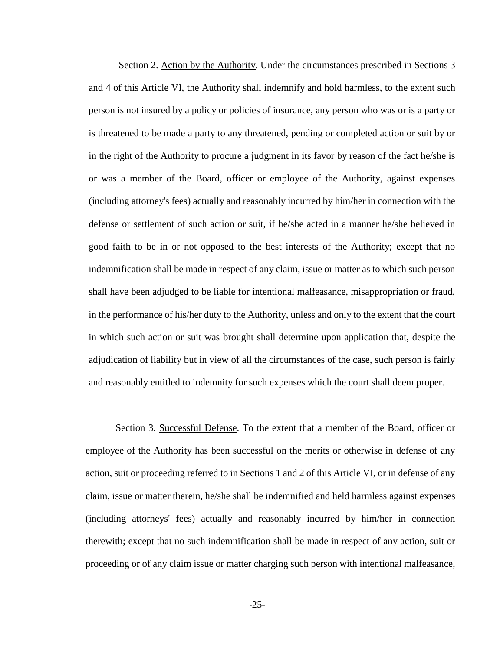Section 2. Action bv the Authority. Under the circumstances prescribed in Sections 3 and 4 of this Article VI, the Authority shall indemnify and hold harmless, to the extent such person is not insured by a policy or policies of insurance, any person who was or is a party or is threatened to be made a party to any threatened, pending or completed action or suit by or in the right of the Authority to procure a judgment in its favor by reason of the fact he/she is or was a member of the Board, officer or employee of the Authority, against expenses (including attorney's fees) actually and reasonably incurred by him/her in connection with the defense or settlement of such action or suit, if he/she acted in a manner he/she believed in good faith to be in or not opposed to the best interests of the Authority; except that no indemnification shall be made in respect of any claim, issue or matter as to which such person shall have been adjudged to be liable for intentional malfeasance, misappropriation or fraud, in the performance of his/her duty to the Authority, unless and only to the extent that the court in which such action or suit was brought shall determine upon application that, despite the adjudication of liability but in view of all the circumstances of the case, such person is fairly and reasonably entitled to indemnity for such expenses which the court shall deem proper.

Section 3. Successful Defense. To the extent that a member of the Board, officer or employee of the Authority has been successful on the merits or otherwise in defense of any action, suit or proceeding referred to in Sections 1 and 2 of this Article VI, or in defense of any claim, issue or matter therein, he/she shall be indemnified and held harmless against expenses (including attorneys' fees) actually and reasonably incurred by him/her in connection therewith; except that no such indemnification shall be made in respect of any action, suit or proceeding or of any claim issue or matter charging such person with intentional malfeasance,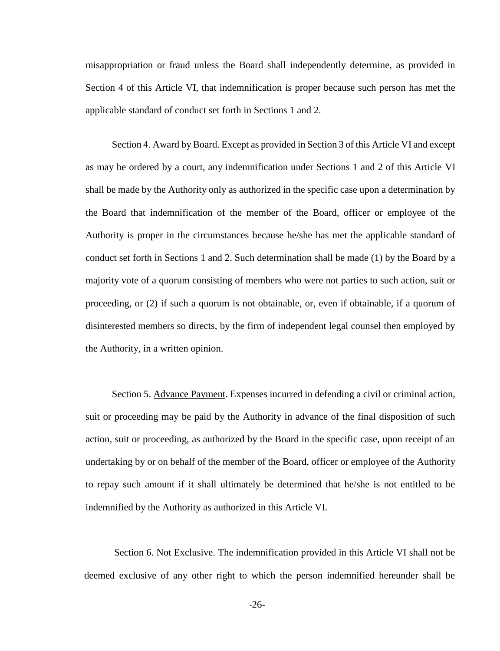misappropriation or fraud unless the Board shall independently determine, as provided in Section 4 of this Article VI, that indemnification is proper because such person has met the applicable standard of conduct set forth in Sections 1 and 2.

Section 4. Award by Board. Except as provided in Section 3 of this Article VI and except as may be ordered by a court, any indemnification under Sections 1 and 2 of this Article VI shall be made by the Authority only as authorized in the specific case upon a determination by the Board that indemnification of the member of the Board, officer or employee of the Authority is proper in the circumstances because he/she has met the applicable standard of conduct set forth in Sections 1 and 2. Such determination shall be made (1) by the Board by a majority vote of a quorum consisting of members who were not parties to such action, suit or proceeding, or (2) if such a quorum is not obtainable, or, even if obtainable, if a quorum of disinterested members so directs, by the firm of independent legal counsel then employed by the Authority, in a written opinion.

Section 5. Advance Payment. Expenses incurred in defending a civil or criminal action, suit or proceeding may be paid by the Authority in advance of the final disposition of such action, suit or proceeding, as authorized by the Board in the specific case, upon receipt of an undertaking by or on behalf of the member of the Board, officer or employee of the Authority to repay such amount if it shall ultimately be determined that he/she is not entitled to be indemnified by the Authority as authorized in this Article VI.

Section 6. Not Exclusive. The indemnification provided in this Article VI shall not be deemed exclusive of any other right to which the person indemnified hereunder shall be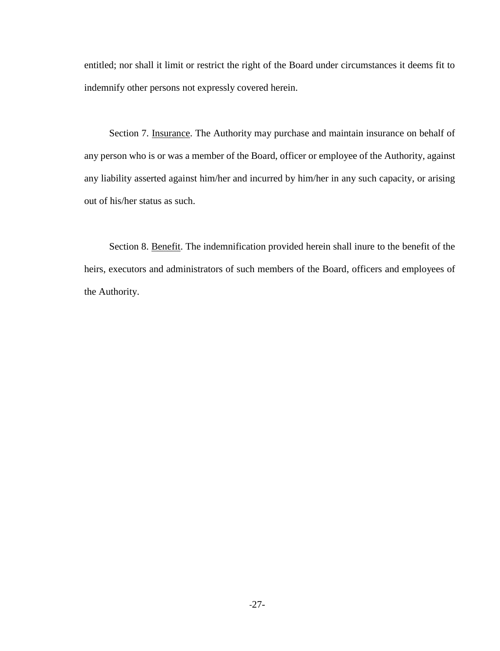entitled; nor shall it limit or restrict the right of the Board under circumstances it deems fit to indemnify other persons not expressly covered herein.

Section 7. Insurance. The Authority may purchase and maintain insurance on behalf of any person who is or was a member of the Board, officer or employee of the Authority, against any liability asserted against him/her and incurred by him/her in any such capacity, or arising out of his/her status as such.

Section 8. Benefit. The indemnification provided herein shall inure to the benefit of the heirs, executors and administrators of such members of the Board, officers and employees of the Authority.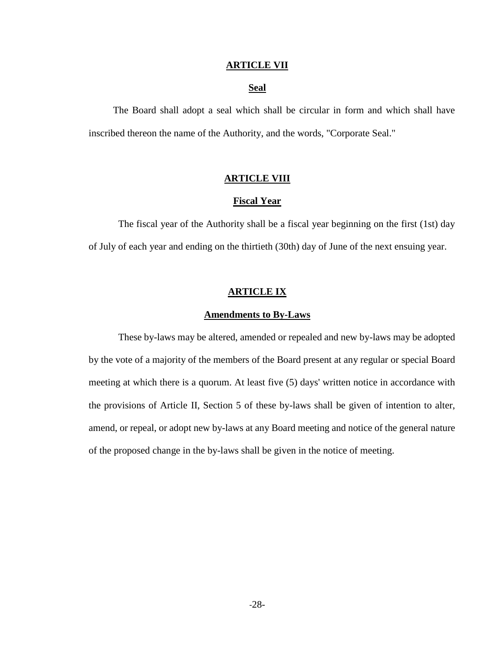#### **ARTICLE VII**

#### **Seal**

The Board shall adopt a seal which shall be circular in form and which shall have inscribed thereon the name of the Authority, and the words, "Corporate Seal."

#### **ARTICLE VIII**

#### **Fiscal Year**

The fiscal year of the Authority shall be a fiscal year beginning on the first (1st) day of July of each year and ending on the thirtieth (30th) day of June of the next ensuing year.

#### **ARTICLE IX**

#### **Amendments to By-Laws**

These by-laws may be altered, amended or repealed and new by-laws may be adopted by the vote of a majority of the members of the Board present at any regular or special Board meeting at which there is a quorum. At least five (5) days' written notice in accordance with the provisions of Article II, Section 5 of these by-laws shall be given of intention to alter, amend, or repeal, or adopt new by-laws at any Board meeting and notice of the general nature of the proposed change in the by-laws shall be given in the notice of meeting.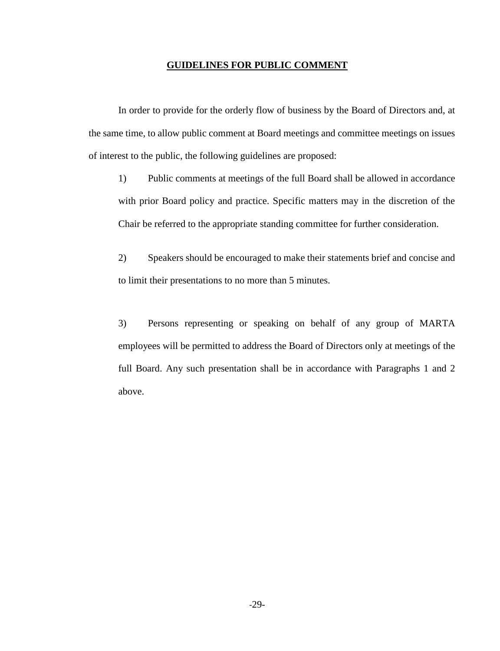#### **GUIDELINES FOR PUBLIC COMMENT**

In order to provide for the orderly flow of business by the Board of Directors and, at the same time, to allow public comment at Board meetings and committee meetings on issues of interest to the public, the following guidelines are proposed:

1) Public comments at meetings of the full Board shall be allowed in accordance with prior Board policy and practice. Specific matters may in the discretion of the Chair be referred to the appropriate standing committee for further consideration.

2) Speakers should be encouraged to make their statements brief and concise and to limit their presentations to no more than 5 minutes.

3) Persons representing or speaking on behalf of any group of MARTA employees will be permitted to address the Board of Directors only at meetings of the full Board. Any such presentation shall be in accordance with Paragraphs 1 and 2 above.